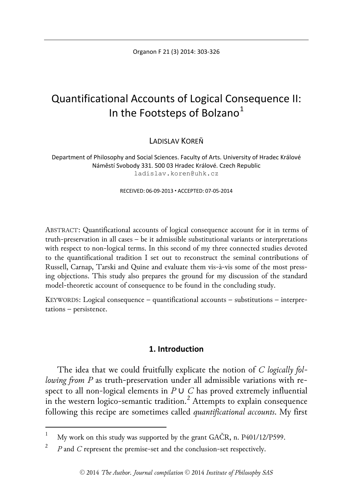Organon F 21 (3) 2014: 303-326

# Quantificational Accounts of Logical Consequence II: In the Footsteps of Bolzano $<sup>1</sup>$  $<sup>1</sup>$  $<sup>1</sup>$ </sup>

LADISLAV KOREŇ

Department of Philosophy and Social Sciences. Faculty of Arts. University of Hradec Králové Náměstí Svobody 331. 500 03 Hradec Králové. Czech Republic ladislav.koren@uhk.cz

RECEIVED: 06-09-2013 ACCEPTED: 07-05-2014

ABSTRACT: Quantificational accounts of logical consequence account for it in terms of truth-preservation in all cases – be it admissible substitutional variants or interpretations with respect to non-logical terms. In this second of my three connected studies devoted to the quantificational tradition I set out to reconstruct the seminal contributions of Russell, Carnap, Tarski and Quine and evaluate them vis-à-vis some of the most pressing objections. This study also prepares the ground for my discussion of the standard model-theoretic account of consequence to be found in the concluding study.

KEYWORDS: Logical consequence – quantificational accounts – substitutions – interpretations – persistence.

### **1. Introduction**

The idea that we could fruitfully explicate the notion of *C logically following from P* as truth-preservation under all admissible variations with respect to all non-logical elements in  $P \cup C$  has proved extremely influential in the western logico-semantic tradition.<sup>[2](#page-0-1)</sup> Attempts to explain consequence following this recipe are sometimes called *quantificational accounts*. My first

<span id="page-0-0"></span>My work on this study was supported by the grant GAČR, n. P401/12/P599.

<span id="page-0-1"></span><sup>&</sup>lt;sup>2</sup> *P* and *C* represent the premise-set and the conclusion-set respectively.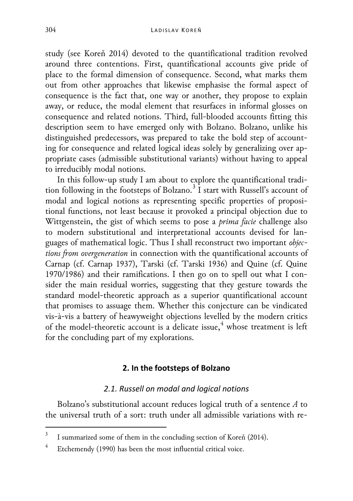study (see Koreň 2014) devoted to the quantificational tradition revolved around three contentions. First, quantificational accounts give pride of place to the formal dimension of consequence. Second, what marks them out from other approaches that likewise emphasise the formal aspect of consequence is the fact that, one way or another, they propose to explain away, or reduce, the modal element that resurfaces in informal glosses on consequence and related notions. Third, full-blooded accounts fitting this description seem to have emerged only with Bolzano. Bolzano, unlike his distinguished predecessors, was prepared to take the bold step of accounting for consequence and related logical ideas solely by generalizing over appropriate cases (admissible substitutional variants) without having to appeal to irreducibly modal notions.

In this follow-up study I am about to explore the quantificational tradi-tion following in the footsteps of Bolzano.<sup>[3](#page-1-0)</sup> I start with Russell's account of modal and logical notions as representing specific properties of propositional functions, not least because it provoked a principal objection due to Wittgenstein, the gist of which seems to pose a *prima facie* challenge also to modern substitutional and interpretational accounts devised for languages of mathematical logic. Thus I shall reconstruct two important *objections from overgeneration* in connection with the quantificational accounts of Carnap (cf. Carnap 1937), Tarski (cf. Tarski 1936) and Quine (cf. Quine 1970/1986) and their ramifications. I then go on to spell out what I consider the main residual worries, suggesting that they gesture towards the standard model-theoretic approach as a superior quantificational account that promises to assuage them. Whether this conjecture can be vindicated vis-à-vis a battery of heawyweight objections levelled by the modern critics of the model-theoretic account is a delicate issue, [4](#page-1-1) whose treatment is left for the concluding part of my explorations.

### **2. In the footsteps of Bolzano**

### *2.1. Russell on modal and logical notions*

Bolzano's substitutional account reduces logical truth of a sentence *A* to the universal truth of a sort: truth under all admissible variations with re-

<span id="page-1-0"></span><sup>&</sup>lt;sup>3</sup> I summarized some of them in the concluding section of Koreň (2014).

<span id="page-1-1"></span><sup>4</sup> Etchemendy (1990) has been the most influential critical voice.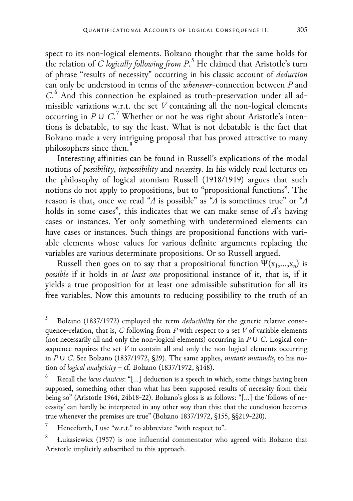spect to its non-logical elements. Bolzano thought that the same holds for the relation of *C logically following from P*. [5](#page-2-0) He claimed that Aristotle's turn of phrase "results of necessity" occurring in his classic account of *deduction* can only be understood in terms of the *whenever*-connection between *P* and *C*. [6](#page-2-1) And this connection he explained as truth-preservation under all admissible variations w.r.t. the set *V* containing all the non-logical elements occurring in *P* ∪ *C*. [7](#page-2-2) Whether or not he was right about Aristotle's inten-

tions is debatable, to say the least. What is not debatable is the fact that Bolzano made a very intriguing proposal that has proved attractive to many philosophers since then.<sup>[8](#page-2-3)</sup>

Interesting affinities can be found in Russell's explications of the modal notions of *possibility*, *impossibility* and *necessity*. In his widely read lectures on the philosophy of logical atomism Russell (1918/1919) argues that such notions do not apply to propositions, but to "propositional functions". The reason is that, once we read "*A* is possible" as "*A* is sometimes true" or "*A* holds in some cases", this indicates that we can make sense of *A*'s having cases or instances. Yet only something with undetermined elements can have cases or instances. Such things are propositional functions with variable elements whose values for various definite arguments replacing the variables are various determinate propositions. Or so Russell argued.

Russell then goes on to say that a propositional function  $\Psi(x_1,...,x_n)$  is *possible* if it holds in *at least one* propositional instance of it, that is, if it yields a true proposition for at least one admissible substitution for all its free variables. Now this amounts to reducing possibility to the truth of an

<span id="page-2-0"></span> <sup>5</sup> Bolzano (1837/1972) employed the term *deducibility* for the generic relative consequence-relation, that is, *C* following from *P* with respect to a set *V* of variable elements (not necessarily all and only the non-logical elements) occurring in *P* ∪ *C*. Logical consequence requires the set *V* to contain all and only the non-logical elements occurring in *P* ∪ *C*. See Bolzano (1837/1972, §29). The same applies, *mutatis mutandis*, to his notion of *logical analyticity* – cf. Bolzano (1837/1972, §148).

<span id="page-2-1"></span><sup>6</sup> Recall the *locus classicus*: "[…] deduction is a speech in which, some things having been supposed, something other than what has been supposed results of necessity from their being so" (Aristotle 1964, 24b18-22). Bolzano's gloss is as follows: "[…] the 'follows of necessity' can hardly be interpreted in any other way than this: that the conclusion becomes true whenever the premises are true" (Bolzano 1837/1972, §155, §§219-220).

<span id="page-2-2"></span><sup>7</sup> Henceforth, I use "w.r.t." to abbreviate "with respect to".

<span id="page-2-3"></span>Łukasiewicz (1957) is one influential commentator who agreed with Bolzano that Aristotle implicitly subscribed to this approach.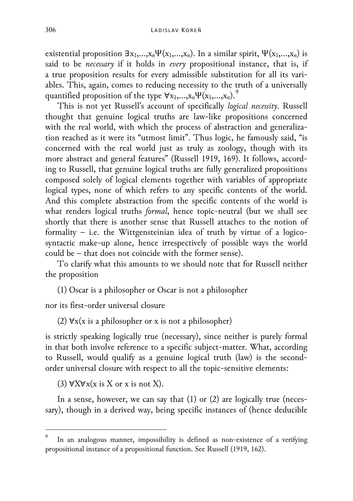existential proposition  $\exists x_1,...,x_n \Psi(x_1,...,x_n)$ . In a similar spirit,  $\Psi(x_1,...,x_n)$  is said to be *necessary* if it holds in *every* propositional instance, that is, if a true proposition results for every admissible substitution for all its variables. This, again, comes to reducing necessity to the truth of a universally quantified proposition of the type  $\forall x_1,...,x_n \Psi(x_1,...,x_n)$ .<sup>[9](#page-3-0)</sup>

This is not yet Russell's account of specifically *logical necessity*. Russell thought that genuine logical truths are law-like propositions concerned with the real world, with which the process of abstraction and generalization reached as it were its "utmost limit". Thus logic, he famously said, "is concerned with the real world just as truly as zoology, though with its more abstract and general features" (Russell 1919, 169). It follows, according to Russell, that genuine logical truths are fully generalized propositions composed solely of logical elements together with variables of appropriate logical types, none of which refers to any specific contents of the world. And this complete abstraction from the specific contents of the world is what renders logical truths *formal*, hence topic-neutral (but we shall see shortly that there is another sense that Russell attaches to the notion of formality – i.e. the Wittgensteinian idea of truth by virtue of a logicosyntactic make-up alone, hence irrespectively of possible ways the world could be – that does not coincide with the former sense).

To clarify what this amounts to we should note that for Russell neither the proposition

(1) Oscar is a philosopher or Oscar is not a philosopher

nor its first-order universal closure

(2)  $\forall x(x)$  is a philosopher or x is not a philosopher)

is strictly speaking logically true (necessary), since neither is purely formal in that both involve reference to a specific subject-matter. What, according to Russell, would qualify as a genuine logical truth (law) is the secondorder universal closure with respect to all the topic-sensitive elements:

(3)  $\forall$ X $\forall$ x(x is X or x is not X).

In a sense, however, we can say that  $(1)$  or  $(2)$  are logically true (necessary), though in a derived way, being specific instances of (hence deducible

<span id="page-3-0"></span>In an analogous manner, impossibility is defined as non-existence of a verifying propositional instance of a propositional function. See Russell (1919, 162).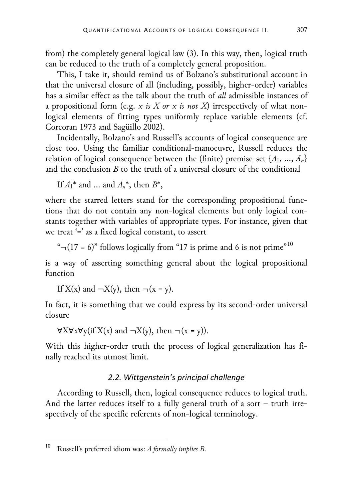from) the completely general logical law (3). In this way, then, logical truth can be reduced to the truth of a completely general proposition.

This, I take it, should remind us of Bolzano's substitutional account in that the universal closure of all (including, possibly, higher-order) variables has a similar effect as the talk about the truth of *all* admissible instances of a propositional form (e.g. *x is X or x is not X*) irrespectively of what nonlogical elements of fitting types uniformly replace variable elements (cf. Corcoran 1973 and Sagüillo 2002).

Incidentally, Bolzano's and Russell's accounts of logical consequence are close too. Using the familiar conditional-manoeuvre, Russell reduces the relation of logical consequence between the (finite) premise-set {*A*1, …, *An*} and the conclusion *B* to the truth of a universal closure of the conditional

If  $A_1^*$  and ... and  $A_n^*$ , then  $B^*$ ,

where the starred letters stand for the corresponding propositional functions that do not contain any non-logical elements but only logical constants together with variables of appropriate types. For instance, given that we treat '=' as a fixed logical constant, to assert

" $\neg(17 = 6)$ " follows logically from "17 is prime and 6 is not prime"<sup>[10](#page-4-0)</sup>

is a way of asserting something general about the logical propositional function

If  $X(x)$  and  $\neg X(y)$ , then  $\neg(x = y)$ .

In fact, it is something that we could express by its second-order universal closure

 $\forall$ X $\forall$ x $\forall$ y(if X(x) and  $\neg$ X(y), then  $\neg$ (x = y)).

With this higher-order truth the process of logical generalization has finally reached its utmost limit.

# *2.2. Wittgenstein's principal challenge*

According to Russell, then, logical consequence reduces to logical truth. And the latter reduces itself to a fully general truth of a sort – truth irrespectively of the specific referents of non-logical terminology.

<span id="page-4-0"></span> <sup>10</sup> Russell's preferred idiom was: *A formally implies B*.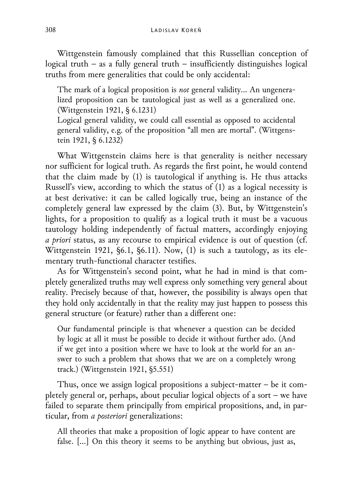Wittgenstein famously complained that this Russellian conception of logical truth – as a fully general truth – insufficiently distinguishes logical truths from mere generalities that could be only accidental:

The mark of a logical proposition is *not* general validity… An ungeneralized proposition can be tautological just as well as a generalized one. (Wittgenstein 1921, § 6.1231)

Logical general validity, we could call essential as opposed to accidental general validity, e.g. of the proposition "all men are mortal". (Wittgenstein 1921, § 6.1232)

What Wittgenstein claims here is that generality is neither necessary nor sufficient for logical truth. As regards the first point, he would contend that the claim made by (1) is tautological if anything is. He thus attacks Russell's view, according to which the status of (1) as a logical necessity is at best derivative: it can be called logically true, being an instance of the completely general law expressed by the claim (3). But, by Wittgenstein's lights, for a proposition to qualify as a logical truth it must be a vacuous tautology holding independently of factual matters, accordingly enjoying *a priori* status, as any recourse to empirical evidence is out of question (cf. Wittgenstein 1921, §6.1, §6.11). Now, (1) is such a tautology, as its elementary truth-functional character testifies.

As for Wittgenstein's second point, what he had in mind is that completely generalized truths may well express only something very general about reality. Precisely because of that, however, the possibility is always open that they hold only accidentally in that the reality may just happen to possess this general structure (or feature) rather than a different one:

Our fundamental principle is that whenever a question can be decided by logic at all it must be possible to decide it without further ado. (And if we get into a position where we have to look at the world for an answer to such a problem that shows that we are on a completely wrong track.) (Wittgenstein 1921, §5.551)

Thus, once we assign logical propositions a subject-matter – be it completely general or, perhaps, about peculiar logical objects of a sort – we have failed to separate them principally from empirical propositions, and, in particular, from *a posteriori* generalizations:

All theories that make a proposition of logic appear to have content are false. […] On this theory it seems to be anything but obvious, just as,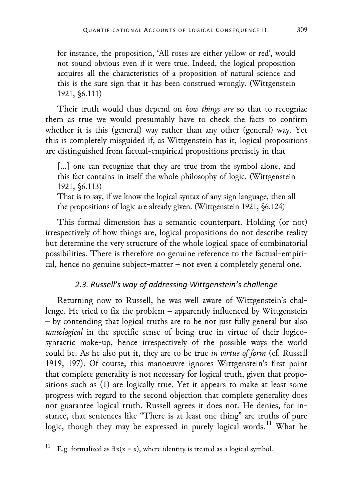for instance, the proposition, 'All roses are either yellow or red', would not sound obvious even if it were true. Indeed, the logical proposition acquires all the characteristics of a proposition of natural science and this is the sure sign that it has been construed wrongly. (Wittgenstein 1921, §6.111)

Their truth would thus depend on *how things are* so that to recognize them as true we would presumably have to check the facts to confirm whether it is this (general) way rather than any other (general) way. Yet this is completely misguided if, as Wittgenstein has it, logical propositions are distinguished from factual-empirical propositions precisely in that

[...] one can recognize that they are true from the symbol alone, and this fact contains in itself the whole philosophy of logic. (Wittgenstein 1921, §6.113)

That is to say, if we know the logical syntax of any sign language, then all the propositions of logic are already given. (Wittgenstein 1921, §6.124)

This formal dimension has a semantic counterpart. Holding (or not) irrespectively of how things are, logical propositions do not describe reality but determine the very structure of the whole logical space of combinatorial possibilities. There is therefore no genuine reference to the factual-empirical, hence no genuine subject-matter – not even a completely general one.

# *2.3. Russell's way of addressing Wittgenstein's challenge*

Returning now to Russell, he was well aware of Wittgenstein's challenge. He tried to fix the problem – apparently influenced by Wittgenstein – by contending that logical truths are to be not just fully general but also *tautological* in the specific sense of being true in virtue of their logicosyntactic make-up, hence irrespectively of the possible ways the world could be. As he also put it, they are to be true *in virtue of form* (cf. Russell 1919, 197). Of course, this manoeuvre ignores Wittgenstein's first point that complete generality is not necessary for logical truth, given that propositions such as (1) are logically true. Yet it appears to make at least some progress with regard to the second objection that complete generality does not guarantee logical truth. Russell agrees it does not. He denies, for instance, that sentences like "There is at least one thing" are truths of pure logic, though they may be expressed in purely logical words.<sup>[11](#page-6-0)</sup> What he

<span id="page-6-0"></span><sup>&</sup>lt;sup>11</sup> E.g. formalized as  $\exists x(x = x)$ , where identity is treated as a logical symbol.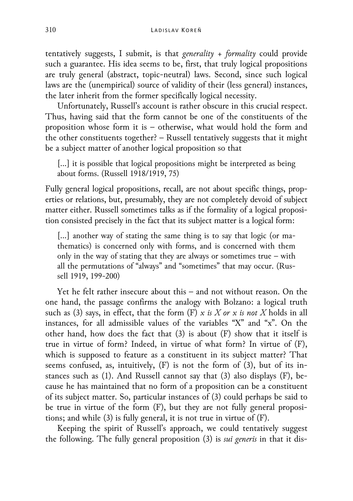tentatively suggests, I submit, is that *generality + formality* could provide such a guarantee. His idea seems to be, first, that truly logical propositions are truly general (abstract, topic-neutral) laws. Second, since such logical laws are the (unempirical) source of validity of their (less general) instances, the later inherit from the former specifically logical necessity.

Unfortunately, Russell's account is rather obscure in this crucial respect. Thus, having said that the form cannot be one of the constituents of the proposition whose form it is – otherwise, what would hold the form and the other constituents together? – Russell tentatively suggests that it might be a subject matter of another logical proposition so that

[...] it is possible that logical propositions might be interpreted as being about forms. (Russell 1918/1919, 75)

Fully general logical propositions, recall, are not about specific things, properties or relations, but, presumably, they are not completely devoid of subject matter either. Russell sometimes talks as if the formality of a logical proposition consisted precisely in the fact that its subject matter is a logical form:

[...] another way of stating the same thing is to say that logic (or mathematics) is concerned only with forms, and is concerned with them only in the way of stating that they are always or sometimes true – with all the permutations of "always" and "sometimes" that may occur. (Russell 1919, 199-200)

Yet he felt rather insecure about this – and not without reason. On the one hand, the passage confirms the analogy with Bolzano: a logical truth such as (3) says, in effect, that the form (F) *x is X or x is not X* holds in all instances, for all admissible values of the variables "X" and "x". On the other hand, how does the fact that (3) is about (F) show that it itself is true in virtue of form? Indeed, in virtue of what form? In virtue of (F), which is supposed to feature as a constituent in its subject matter? That seems confused, as, intuitively, (F) is not the form of (3), but of its instances such as (1). And Russell cannot say that (3) also displays (F), because he has maintained that no form of a proposition can be a constituent of its subject matter. So, particular instances of (3) could perhaps be said to be true in virtue of the form (F), but they are not fully general propositions; and while (3) is fully general, it is not true in virtue of (F).

Keeping the spirit of Russell's approach, we could tentatively suggest the following. The fully general proposition (3) is *sui generis* in that it dis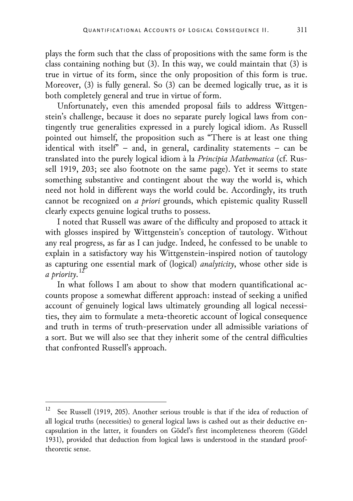plays the form such that the class of propositions with the same form is the class containing nothing but (3). In this way, we could maintain that (3) is true in virtue of its form, since the only proposition of this form is true. Moreover, (3) is fully general. So (3) can be deemed logically true, as it is both completely general and true in virtue of form.

Unfortunately, even this amended proposal fails to address Wittgenstein's challenge, because it does no separate purely logical laws from contingently true generalities expressed in a purely logical idiom. As Russell pointed out himself, the proposition such as "There is at least one thing identical with itself" – and, in general, cardinality statements – can be translated into the purely logical idiom à la *Principia Mathematica* (cf. Russell 1919, 203; see also footnote on the same page). Yet it seems to state something substantive and contingent about the way the world is, which need not hold in different ways the world could be. Accordingly, its truth cannot be recognized on *a priori* grounds, which epistemic quality Russell clearly expects genuine logical truths to possess.

I noted that Russell was aware of the difficulty and proposed to attack it with glosses inspired by Wittgenstein's conception of tautology. Without any real progress, as far as I can judge. Indeed, he confessed to be unable to explain in a satisfactory way his Wittgenstein-inspired notion of tautology as capturing one essential mark of (logical) *analyticity*, whose other side is *a priority*. [12](#page-8-0)

In what follows I am about to show that modern quantificational accounts propose a somewhat different approach: instead of seeking a unified account of genuinely logical laws ultimately grounding all logical necessities, they aim to formulate a meta-theoretic account of logical consequence and truth in terms of truth-preservation under all admissible variations of a sort. But we will also see that they inherit some of the central difficulties that confronted Russell's approach.

<span id="page-8-0"></span><sup>&</sup>lt;sup>12</sup> See Russell (1919, 205). Another serious trouble is that if the idea of reduction of all logical truths (necessities) to general logical laws is cashed out as their deductive encapsulation in the latter, it founders on Gödel's first incompleteness theorem (Gödel 1931), provided that deduction from logical laws is understood in the standard prooftheoretic sense.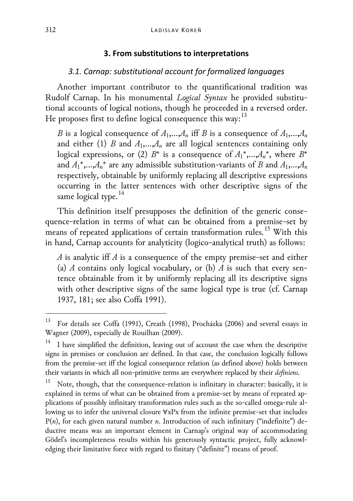### **3. From substitutions to interpretations**

#### *3.1. Carnap: substitutional account for formalized languages*

Another important contributor to the quantificational tradition was Rudolf Carnap. In his monumental *Logical Syntax* he provided substitutional accounts of logical notions, though he proceeded in a reversed order. He proposes first to define logical consequence this way:  $13$ 

*B* is a logical consequence of  $A_1$ ,  $A_n$  iff *B* is a consequence of  $A_1$ ,  $A_n$ and either (1) *B* and  $A_1$ ,  $A_n$  are all logical sentences containing only logical expressions, or (2)  $B^*$  is a consequence of  $A_1^*,...,A_n^*$ , where  $B^*$ and  $A_1^*,...,A_n^*$  are any admissible substitution-variants of *B* and  $A_1,...,A_n$ respectively, obtainable by uniformly replacing all descriptive expressions occurring in the latter sentences with other descriptive signs of the same logical type.<sup>[14](#page-9-1)</sup>

This definition itself presupposes the definition of the generic consequence-relation in terms of what can be obtained from a premise-set by means of repeated applications of certain transformation rules.<sup>[15](#page-9-2)</sup> With this in hand, Carnap accounts for analyticity (logico-analytical truth) as follows:

*A* is analytic iff *A* is a consequence of the empty premise-set and either (a) *A* contains only logical vocabulary, or (b) *A* is such that every sentence obtainable from it by uniformly replacing all its descriptive signs with other descriptive signs of the same logical type is true (cf. Carnap 1937, 181; see also Coffa 1991).

<span id="page-9-0"></span> <sup>13</sup> For details see Coffa (1991), Creath (1998), Procházka (2006) and several essays in Wagner (2009), especially de Rouilhan (2009).

<span id="page-9-1"></span>I have simplified the definition, leaving out of account the case when the descriptive signs in premises or conclusion are defined. In that case, the conclusion logically follows from the premise-set iff the logical consequence relation (as defined above) holds between their variants in which all non-primitive terms are everywhere replaced by their *definiens*.

<span id="page-9-2"></span>Note, though, that the consequence-relation is infinitary in character: basically, it is explained in terms of what can be obtained from a premise-set by means of repeated applications of possibly infinitary transformation rules such as the so-called omega-rule allowing us to infer the universal closure ∀xPx from the infinite premise-set that includes P(n), for each given natural number *n*. Introduction of such infinitary ("indefinite") deductive means was an important element in Carnap's original way of accommodating Gödel's incompleteness results within his generously syntactic project, fully acknowledging their limitative force with regard to finitary ("definite") means of proof.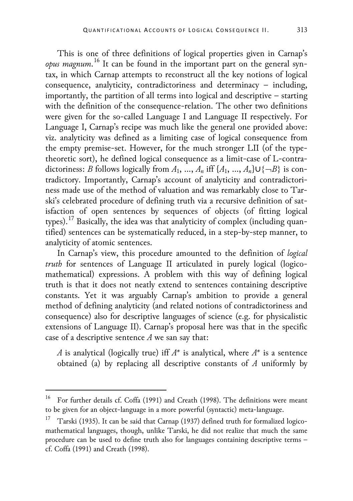This is one of three definitions of logical properties given in Carnap's *opus magnum*. [16](#page-10-0) It can be found in the important part on the general syntax, in which Carnap attempts to reconstruct all the key notions of logical consequence, analyticity, contradictoriness and determinacy – including, importantly, the partition of all terms into logical and descriptive – starting with the definition of the consequence-relation. The other two definitions were given for the so-called Language I and Language II respectively. For Language I, Carnap's recipe was much like the general one provided above: viz. analyticity was defined as a limiting case of logical consequence from the empty premise-set. However, for the much stronger LII (of the typetheoretic sort), he defined logical consequence as a limit-case of L-contradictoriness: *B* follows logically from  $A_1$ , …,  $A_n$  iff  $\{A_1, ..., A_n\} \cup \{\neg B\}$  is contradictory. Importantly, Carnap's account of analyticity and contradictoriness made use of the method of valuation and was remarkably close to Tarski's celebrated procedure of defining truth via a recursive definition of satisfaction of open sentences by sequences of objects (of fitting logical types).<sup>[17](#page-10-1)</sup> Basically, the idea was that analyticity of complex (including quantified) sentences can be systematically reduced, in a step-by-step manner, to analyticity of atomic sentences.

In Carnap's view, this procedure amounted to the definition of *logical truth* for sentences of Language II articulated in purely logical (logicomathematical) expressions. A problem with this way of defining logical truth is that it does not neatly extend to sentences containing descriptive constants. Yet it was arguably Carnap's ambition to provide a general method of defining analyticity (and related notions of contradictoriness and consequence) also for descriptive languages of science (e.g. for physicalistic extensions of Language II). Carnap's proposal here was that in the specific case of a descriptive sentence *A* we san say that:

*A* is analytical (logically true) iff *A\** is analytical, where *A\** is a sentence obtained (a) by replacing all descriptive constants of *A* uniformly by

<span id="page-10-0"></span> <sup>16</sup> For further details cf. Coffa (1991) and Creath (1998). The definitions were meant to be given for an object-language in a more powerful (syntactic) meta-language.

<span id="page-10-1"></span><sup>&</sup>lt;sup>17</sup> Tarski (1935). It can be said that Carnap (1937) defined truth for formalized logicomathematical languages, though, unlike Tarski, he did not realize that much the same procedure can be used to define truth also for languages containing descriptive terms – cf. Coffa (1991) and Creath (1998).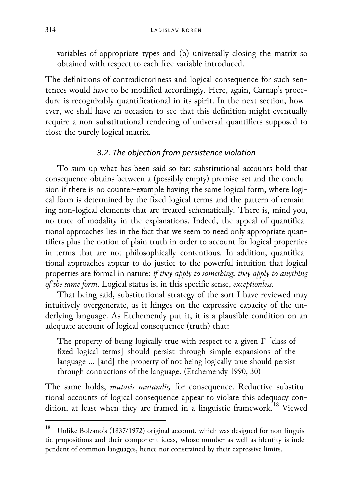variables of appropriate types and (b) universally closing the matrix so obtained with respect to each free variable introduced.

The definitions of contradictoriness and logical consequence for such sentences would have to be modified accordingly. Here, again, Carnap's procedure is recognizably quantificational in its spirit. In the next section, however, we shall have an occasion to see that this definition might eventually require a non-substitutional rendering of universal quantifiers supposed to close the purely logical matrix.

# *3.2. The objection from persistence violation*

To sum up what has been said so far: substitutional accounts hold that consequence obtains between a (possibly empty) premise-set and the conclusion if there is no counter-example having the same logical form, where logical form is determined by the fixed logical terms and the pattern of remaining non-logical elements that are treated schematically. There is, mind you, no trace of modality in the explanations. Indeed, the appeal of quantificational approaches lies in the fact that we seem to need only appropriate quantifiers plus the notion of plain truth in order to account for logical properties in terms that are not philosophically contentious. In addition, quantificational approaches appear to do justice to the powerful intuition that logical properties are formal in nature: *if they apply to something, they apply to anything of the same form*. Logical status is, in this specific sense, *exceptionless*.

That being said, substitutional strategy of the sort I have reviewed may intuitively overgenerate, as it hinges on the expressive capacity of the underlying language. As Etchemendy put it, it is a plausible condition on an adequate account of logical consequence (truth) that:

The property of being logically true with respect to a given F [class of fixed logical terms] should persist through simple expansions of the language … [and] the property of not being logically true should persist through contractions of the language. (Etchemendy 1990, 30)

The same holds, *mutatis mutandis,* for consequence. Reductive substitutional accounts of logical consequence appear to violate this adequacy con-dition, at least when they are framed in a linguistic framework.<sup>[18](#page-11-0)</sup> Viewed

<span id="page-11-0"></span>Unlike Bolzano's (1837/1972) original account, which was designed for non-linguistic propositions and their component ideas, whose number as well as identity is independent of common languages, hence not constrained by their expressive limits.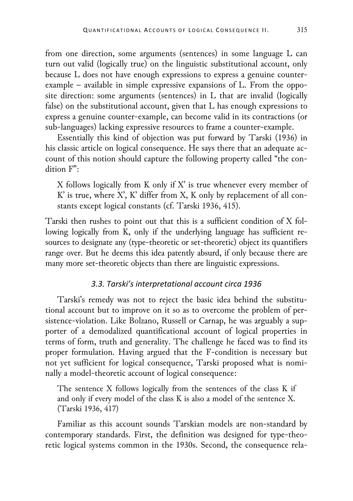from one direction, some arguments (sentences) in some language L can turn out valid (logically true) on the linguistic substitutional account, only because L does not have enough expressions to express a genuine counterexample – available in simple expressive expansions of L. From the opposite direction: some arguments (sentences) in L that are invalid (logically false) on the substitutional account, given that L has enough expressions to express a genuine counter-example, can become valid in its contractions (or sub-languages) lacking expressive resources to frame a counter-example.

Essentially this kind of objection was put forward by Tarski (1936) in his classic article on logical consequence. He says there that an adequate account of this notion should capture the following property called "the condition F":

X follows logically from K only if  $X'$  is true whenever every member of K' is true, where X', K' differ from X, K only by replacement of all constants except logical constants (cf. Tarski 1936, 415).

Tarski then rushes to point out that this is a sufficient condition of X following logically from K, only if the underlying language has sufficient resources to designate any (type-theoretic or set-theoretic) object its quantifiers range over. But he deems this idea patently absurd, if only because there are many more set-theoretic objects than there are linguistic expressions.

# *3.3. Tarski's interpretational account circa 1936*

Tarski's remedy was not to reject the basic idea behind the substitutional account but to improve on it so as to overcome the problem of persistence-violation. Like Bolzano, Russell or Carnap, he was arguably a supporter of a demodalized quantificational account of logical properties in terms of form, truth and generality. The challenge he faced was to find its proper formulation. Having argued that the F-condition is necessary but not yet sufficient for logical consequence, Tarski proposed what is nominally a model-theoretic account of logical consequence:

The sentence X follows logically from the sentences of the class K if and only if every model of the class K is also a model of the sentence X. (Tarski 1936, 417)

Familiar as this account sounds Tarskian models are non-standard by contemporary standards. First, the definition was designed for type-theoretic logical systems common in the 1930s. Second, the consequence rela-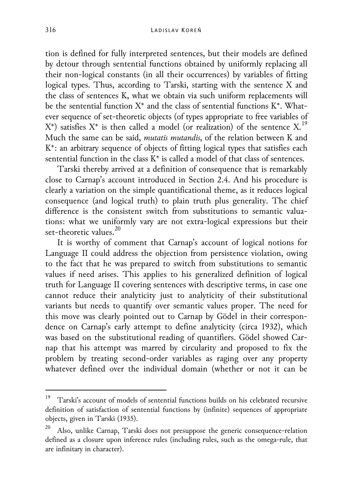tion is defined for fully interpreted sentences, but their models are defined by detour through sentential functions obtained by uniformly replacing all their non-logical constants (in all their occurrences) by variables of fitting logical types. Thus, according to Tarski, starting with the sentence X and the class of sentences K, what we obtain via such uniform replacements will be the sentential function  $X^*$  and the class of sentential functions  $K^*$ . Whatever sequence of set-theoretic objects (of types appropriate to free variables of  $X^*$ ) satisfies  $X^*$  is then called a model (or realization) of the sentence  $X$ .<sup>[19](#page-13-0)</sup> Much the same can be said, *mutatis mutandis*, of the relation between K and K\*: an arbitrary sequence of objects of fitting logical types that satisfies each sentential function in the class  $K^*$  is called a model of that class of sentences.

Tarski thereby arrived at a definition of consequence that is remarkably close to Carnap's account introduced in Section 2.4. And his procedure is clearly a variation on the simple quantificational theme, as it reduces logical consequence (and logical truth) to plain truth plus generality. The chief difference is the consistent switch from substitutions to semantic valuations: what we uniformly vary are not extra-logical expressions but their set-theoretic values. [20](#page-13-1)

It is worthy of comment that Carnap's account of logical notions for Language II could address the objection from persistence violation, owing to the fact that he was prepared to switch from substitutions to semantic values if need arises. This applies to his generalized definition of logical truth for Language II covering sentences with descriptive terms, in case one cannot reduce their analyticity just to analyticity of their substitutional variants but needs to quantify over semantic values proper. The need for this move was clearly pointed out to Carnap by Gödel in their correspondence on Carnap's early attempt to define analyticity (circa 1932), which was based on the substitutional reading of quantifiers. Gödel showed Carnap that his attempt was marred by circularity and proposed to fix the problem by treating second-order variables as raging over any property whatever defined over the individual domain (whether or not it can be

<span id="page-13-0"></span> <sup>19</sup> Tarski's account of models of sentential functions builds on his celebrated recursive definition of satisfaction of sentential functions by (infinite) sequences of appropriate objects, given in Tarski (1935).

<span id="page-13-1"></span>Also, unlike Carnap, Tarski does not presuppose the generic consequence-relation defined as a closure upon inference rules (including rules, such as the omega-rule, that are infinitary in character).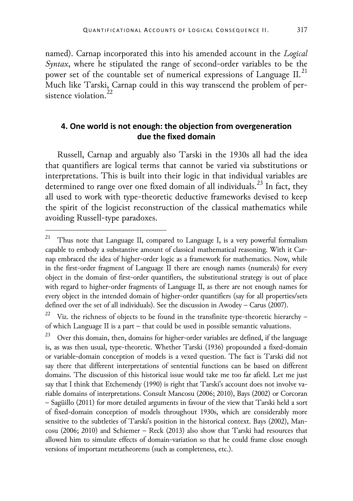named). Carnap incorporated this into his amended account in the *Logical Syntax*, where he stipulated the range of second-order variables to be the power set of the countable set of numerical expressions of Language II.<sup>[21](#page-14-0)</sup> Much like Tarski, Carnap could in this way transcend the problem of per-sistence violation.<sup>[22](#page-14-1)</sup>

# **4. One world is not enough: the objection from overgeneration due the fixed domain**

Russell, Carnap and arguably also Tarski in the 1930s all had the idea that quantifiers are logical terms that cannot be varied via substitutions or interpretations. This is built into their logic in that individual variables are determined to range over one fixed domain of all individuals.<sup>[23](#page-14-2)</sup> In fact, they all used to work with type-theoretic deductive frameworks devised to keep the spirit of the logicist reconstruction of the classical mathematics while avoiding Russell-type paradoxes.

<span id="page-14-0"></span><sup>&</sup>lt;sup>21</sup> Thus note that Language II, compared to Language I, is a very powerful formalism capable to embody a substantive amount of classical mathematical reasoning. With it Carnap embraced the idea of higher-order logic as a framework for mathematics. Now, while in the first-order fragment of Language II there are enough names (numerals) for every object in the domain of first-order quantifiers, the substitutional strategy is out of place with regard to higher-order fragments of Language II, as there are not enough names for every object in the intended domain of higher-order quantifiers (say for all properties/sets defined over the set of all individuals). See the discussion in Awodey – Carus (2007).

<span id="page-14-1"></span>Viz. the richness of objects to be found in the transfinite type-theoretic hierarchy – of which Language II is a part – that could be used in possible semantic valuations.

<span id="page-14-2"></span> $23$  Over this domain, then, domains for higher-order variables are defined, if the language is, as was then usual, type-theoretic. Whether Tarski (1936) propounded a fixed-domain or variable-domain conception of models is a vexed question. The fact is Tarski did not say there that different interpretations of sentential functions can be based on different domains. The discussion of this historical issue would take me too far afield. Let me just say that I think that Etchemendy (1990) is right that Tarski's account does not involve variable domains of interpretations. Consult Mancosu (2006; 2010), Bays (2002) or Corcoran – Sagüillo (2011) for more detailed arguments in favour of the view that Tarski held a sort of fixed-domain conception of models throughout 1930s, which are considerably more sensitive to the subtleties of Tarski's position in the historical context. Bays (2002), Mancosu (2006; 2010) and Schiemer – Reck (2013) also show that Tarski had resources that allowed him to simulate effects of domain-variation so that he could frame close enough versions of important metatheorems (such as completeness, etc.).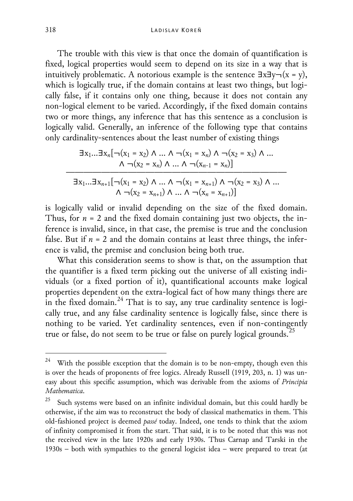The trouble with this view is that once the domain of quantification is fixed, logical properties would seem to depend on its size in a way that is intuitively problematic. A notorious example is the sentence  $\exists x \exists y \neg (x = y)$ , which is logically true, if the domain contains at least two things, but logically false, if it contains only one thing, because it does not contain any non-logical element to be varied. Accordingly, if the fixed domain contains two or more things, any inference that has this sentence as a conclusion is logically valid. Generally, an inference of the following type that contains only cardinality-sentences about the least number of existing things

$$
\exists x_1...\exists x_n[\neg(x_1 = x_2) \land ... \land \neg(x_1 = x_n) \land \neg(x_2 = x_3) \land ... \land \neg(x_2 = x_n) \land ... \land \neg(x_{n-1} = x_n)]
$$
  

$$
\exists x_1...\exists x_{n+1}[\neg(x_1 = x_2) \land ... \land \neg(x_1 = x_{n+1}) \land \neg(x_2 = x_3) \land ... \land \neg(x_2 = x_{n+1}) \land ... \land \neg(x_n = x_{n+1})]
$$

is logically valid or invalid depending on the size of the fixed domain. Thus, for  $n = 2$  and the fixed domain containing just two objects, the inference is invalid, since, in that case, the premise is true and the conclusion false. But if  $n = 2$  and the domain contains at least three things, the inference is valid, the premise and conclusion being both true.

What this consideration seems to show is that, on the assumption that the quantifier is a fixed term picking out the universe of all existing individuals (or a fixed portion of it), quantificational accounts make logical properties dependent on the extra-logical fact of how many things there are in the fixed domain.<sup>[24](#page-15-0)</sup> That is to say, any true cardinality sentence is logically true, and any false cardinality sentence is logically false, since there is nothing to be varied. Yet cardinality sentences, even if non-contingently true or false, do not seem to be true or false on purely logical grounds.<sup>[25](#page-15-1)</sup>

<span id="page-15-0"></span>With the possible exception that the domain is to be non-empty, though even this is over the heads of proponents of free logics. Already Russell (1919, 203, n. 1) was uneasy about this specific assumption, which was derivable from the axioms of *Principia Mathematica*.

<span id="page-15-1"></span>Such systems were based on an infinite individual domain, but this could hardly be otherwise, if the aim was to reconstruct the body of classical mathematics in them. This old-fashioned project is deemed *passé* today. Indeed, one tends to think that the axiom of infinity compromised it from the start. That said, it is to be noted that this was not the received view in the late 1920s and early 1930s. Thus Carnap and Tarski in the 1930s – both with sympathies to the general logicist idea – were prepared to treat (at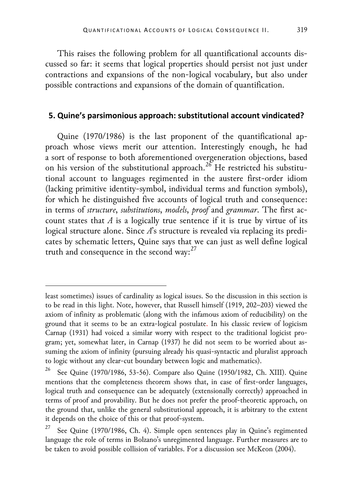This raises the following problem for all quantificational accounts discussed so far: it seems that logical properties should persist not just under contractions and expansions of the non-logical vocabulary, but also under possible contractions and expansions of the domain of quantification.

### **5. Quine's parsimonious approach: substitutional account vindicated?**

Quine (1970/1986) is the last proponent of the quantificational approach whose views merit our attention. Interestingly enough, he had a sort of response to both aforementioned overgeneration objections, based on his version of the substitutional approach.<sup>[26](#page-16-0)</sup> He restricted his substitutional account to languages regimented in the austere first-order idiom (lacking primitive identity-symbol, individual terms and function symbols), for which he distinguished five accounts of logical truth and consequence: in terms of *structure*, *substitutions*, *models*, *proof* and *grammar*. The first account states that *A* is a logically true sentence if it is true by virtue of its logical structure alone. Since *A*'s structure is revealed via replacing its predicates by schematic letters, Quine says that we can just as well define logical truth and consequence in the second way:<sup>[27](#page-16-1)</sup>

1

least sometimes) issues of cardinality as logical issues. So the discussion in this section is to be read in this light. Note, however, that Russell himself (1919, 202–203) viewed the axiom of infinity as problematic (along with the infamous axiom of reducibility) on the ground that it seems to be an extra-logical postulate. In his classic review of logicism Carnap (1931) had voiced a similar worry with respect to the traditional logicist program; yet, somewhat later, in Carnap (1937) he did not seem to be worried about assuming the axiom of infinity (pursuing already his quasi-syntactic and pluralist approach to logic without any clear-cut boundary between logic and mathematics).

<span id="page-16-0"></span><sup>26</sup> See Quine (1970/1986, 53-56). Compare also Quine (1950/1982, Ch. XIII). Quine mentions that the completeness theorem shows that, in case of first-order languages, logical truth and consequence can be adequately (extensionally correctly) approached in terms of proof and provability. But he does not prefer the proof-theoretic approach, on the ground that, unlike the general substitutional approach, it is arbitrary to the extent it depends on the choice of this or that proof-system.

<span id="page-16-1"></span><sup>&</sup>lt;sup>27</sup> See Quine (1970/1986, Ch. 4). Simple open sentences play in Quine's regimented language the role of terms in Bolzano's unregimented language. Further measures are to be taken to avoid possible collision of variables. For a discussion see McKeon (2004).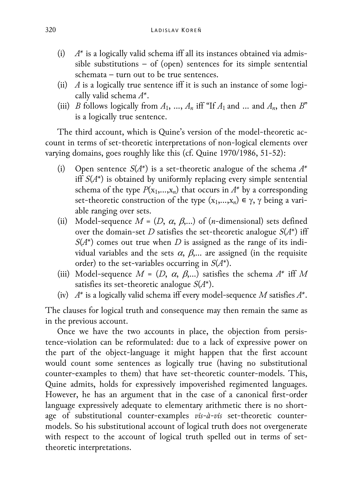- (i) *A\** is a logically valid schema iff all its instances obtained via admissible substitutions – of (open) sentences for its simple sentential schemata – turn out to be true sentences.
- (ii) *A* is a logically true sentence iff it is such an instance of some logically valid schema *A\**.
- (iii) *B* follows logically from  $A_1$ , ...,  $A_n$  iff "If  $A_1$  and ... and  $A_n$ , then  $B$ " is a logically true sentence.

The third account, which is Quine's version of the model-theoretic account in terms of set-theoretic interpretations of non-logical elements over varying domains, goes roughly like this (cf. Quine 1970/1986, 51-52):

- (i) Open sentence *S*(*A\**) is a set-theoretic analogue of the schema *A\** iff *S*(*A*\*) is obtained by uniformly replacing every simple sentential schema of the type  $P(x_1,...,x_n)$  that occurs in  $A^*$  by a corresponding set-theoretic construction of the type  $(x_1,...,x_n) \in \gamma$ ,  $\gamma$  being a variable ranging over sets.
- (ii) Model-sequence  $M = (D, \alpha, \beta,...)$  of (*n*-dimensional) sets defined over the domain-set *D* satisfies the set-theoretic analogue  $S(A^*)$  iff  $S(A^*)$  comes out true when *D* is assigned as the range of its individual variables and the sets  $\alpha$ ,  $\beta$ ,... are assigned (in the requisite order) to the set-variables occurring in *S*(*A*\*).
- (iii) Model-sequence  $M = (D, \alpha, \beta,...)$  satisfies the schema  $A^*$  iff M satisfies its set-theoretic analogue *S*(*A*\*).
- (iv) *A\** is a logically valid schema iff every model-sequence *M* satisfies *A\**.

The clauses for logical truth and consequence may then remain the same as in the previous account.

Once we have the two accounts in place, the objection from persistence-violation can be reformulated: due to a lack of expressive power on the part of the object-language it might happen that the first account would count some sentences as logically true (having no substitutional counter-examples to them) that have set-theoretic counter-models. This, Quine admits, holds for expressively impoverished regimented languages. However, he has an argument that in the case of a canonical first-order language expressively adequate to elementary arithmetic there is no shortage of substitutional counter-examples *vis-à-vis* set-theoretic countermodels. So his substitutional account of logical truth does not overgenerate with respect to the account of logical truth spelled out in terms of settheoretic interpretations.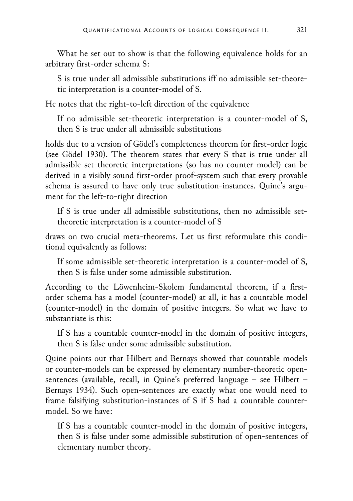What he set out to show is that the following equivalence holds for an arbitrary first-order schema S:

S is true under all admissible substitutions iff no admissible set-theoretic interpretation is a counter-model of S.

He notes that the right-to-left direction of the equivalence

If no admissible set-theoretic interpretation is a counter-model of S, then S is true under all admissible substitutions

holds due to a version of Gödel's completeness theorem for first-order logic (see Gödel 1930). The theorem states that every S that is true under all admissible set-theoretic interpretations (so has no counter-model) can be derived in a visibly sound first-order proof-system such that every provable schema is assured to have only true substitution-instances. Quine's argument for the left-to-right direction

If S is true under all admissible substitutions, then no admissible settheoretic interpretation is a counter-model of S

draws on two crucial meta-theorems. Let us first reformulate this conditional equivalently as follows:

If some admissible set-theoretic interpretation is a counter-model of S, then S is false under some admissible substitution.

According to the Löwenheim-Skolem fundamental theorem, if a firstorder schema has a model (counter-model) at all, it has a countable model (counter-model) in the domain of positive integers. So what we have to substantiate is this:

If S has a countable counter-model in the domain of positive integers, then S is false under some admissible substitution.

Quine points out that Hilbert and Bernays showed that countable models or counter-models can be expressed by elementary number-theoretic opensentences (available, recall, in Quine's preferred language – see Hilbert – Bernays 1934). Such open-sentences are exactly what one would need to frame falsifying substitution-instances of S if S had a countable countermodel. So we have:

If S has a countable counter-model in the domain of positive integers, then S is false under some admissible substitution of open-sentences of elementary number theory.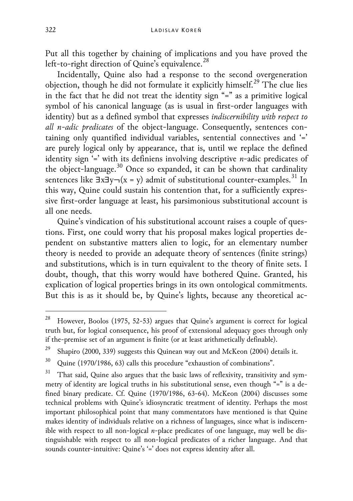Put all this together by chaining of implications and you have proved the left-to-right direction of Quine's equivalence.<sup>[28](#page-19-0)</sup>

Incidentally, Quine also had a response to the second overgeneration objection, though he did not formulate it explicitly himself.[29](#page-19-1) The clue lies in the fact that he did not treat the identity sign "=" as a primitive logical symbol of his canonical language (as is usual in first-order languages with identity) but as a defined symbol that expresses *indiscernibility with respect to all n-adic predicates* of the object-language. Consequently, sentences containing only quantified individual variables, sentential connectives and '=' are purely logical only by appearance, that is, until we replace the defined identity sign '=' with its definiens involving descriptive *n*-adic predicates of the object-language.<sup>[30](#page-19-2)</sup> Once so expanded, it can be shown that cardinality sentences like  $\exists x \exists y \neg (x = y)$  admit of substitutional counter-examples.<sup>[31](#page-19-3)</sup> In this way, Quine could sustain his contention that, for a sufficiently expressive first-order language at least, his parsimonious substitutional account is all one needs.

Quine's vindication of his substitutional account raises a couple of questions. First, one could worry that his proposal makes logical properties dependent on substantive matters alien to logic, for an elementary number theory is needed to provide an adequate theory of sentences (finite strings) and substitutions, which is in turn equivalent to the theory of finite sets. I doubt, though, that this worry would have bothered Quine. Granted, his explication of logical properties brings in its own ontological commitments. But this is as it should be, by Quine's lights, because any theoretical ac-

<span id="page-19-0"></span>However, Boolos (1975, 52-53) argues that Quine's argument is correct for logical truth but, for logical consequence, his proof of extensional adequacy goes through only if the-premise set of an argument is finite (or at least arithmetically definable).

<span id="page-19-1"></span><sup>&</sup>lt;sup>29</sup> Shapiro (2000, 339) suggests this Quinean way out and McKeon (2004) details it.

<span id="page-19-2"></span><sup>&</sup>lt;sup>30</sup> Quine (1970/1986, 63) calls this procedure "exhaustion of combinations".

<span id="page-19-3"></span> $31$  That said, Quine also argues that the basic laws of reflexivity, transitivity and symmetry of identity are logical truths in his substitutional sense, even though "=" is a defined binary predicate. Cf. Quine (1970/1986, 63-64). McKeon (2004) discusses some technical problems with Quine's idiosyncratic treatment of identity. Perhaps the most important philosophical point that many commentators have mentioned is that Quine makes identity of individuals relative on a richness of languages, since what is indiscernible with respect to all non-logical *n*-place predicates of one language, may well be distinguishable with respect to all non-logical predicates of a richer language. And that sounds counter-intuitive: Quine's '=' does not express identity after all.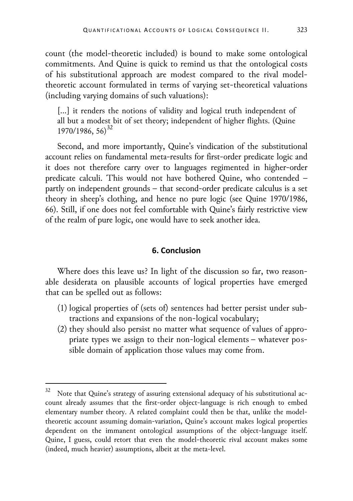count (the model-theoretic included) is bound to make some ontological commitments. And Quine is quick to remind us that the ontological costs of his substitutional approach are modest compared to the rival modeltheoretic account formulated in terms of varying set-theoretical valuations (including varying domains of such valuations):

[...] it renders the notions of validity and logical truth independent of all but a modest bit of set theory; independent of higher flights. (Quine 1970/1986, 56)<sup>[32](#page-20-0)</sup>

Second, and more importantly, Quine's vindication of the substitutional account relies on fundamental meta-results for first-order predicate logic and it does not therefore carry over to languages regimented in higher-order predicate calculi. This would not have bothered Quine, who contended – partly on independent grounds – that second-order predicate calculus is a set theory in sheep's clothing, and hence no pure logic (see Quine 1970/1986, 66). Still, if one does not feel comfortable with Quine's fairly restrictive view of the realm of pure logic, one would have to seek another idea.

#### **6. Conclusion**

Where does this leave us? In light of the discussion so far, two reasonable desiderata on plausible accounts of logical properties have emerged that can be spelled out as follows:

- (1) logical properties of (sets of) sentences had better persist under subtractions and expansions of the non-logical vocabulary;
- (2) they should also persist no matter what sequence of values of appropriate types we assign to their non-logical elements – whatever possible domain of application those values may come from.

<span id="page-20-0"></span>Note that Quine's strategy of assuring extensional adequacy of his substitutional account already assumes that the first-order object-language is rich enough to embed elementary number theory. A related complaint could then be that, unlike the modeltheoretic account assuming domain-variation, Quine's account makes logical properties dependent on the immanent ontological assumptions of the object-language itself. Quine, I guess, could retort that even the model-theoretic rival account makes some (indeed, much heavier) assumptions, albeit at the meta-level.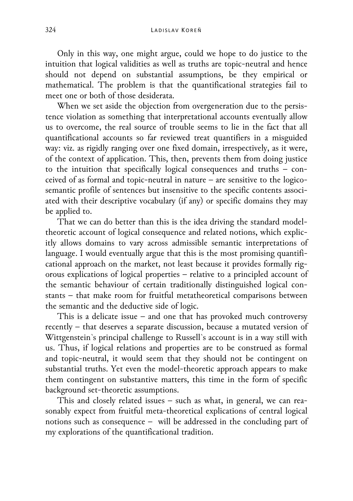Only in this way, one might argue, could we hope to do justice to the intuition that logical validities as well as truths are topic-neutral and hence should not depend on substantial assumptions, be they empirical or mathematical. The problem is that the quantificational strategies fail to meet one or both of those desiderata.

When we set aside the objection from overgeneration due to the persistence violation as something that interpretational accounts eventually allow us to overcome, the real source of trouble seems to lie in the fact that all quantificational accounts so far reviewed treat quantifiers in a misguided way: viz. as rigidly ranging over one fixed domain, irrespectively, as it were, of the context of application. This, then, prevents them from doing justice to the intuition that specifically logical consequences and truths – conceived of as formal and topic-neutral in nature – are sensitive to the logicosemantic profile of sentences but insensitive to the specific contents associated with their descriptive vocabulary (if any) or specific domains they may be applied to.

That we can do better than this is the idea driving the standard modeltheoretic account of logical consequence and related notions, which explicitly allows domains to vary across admissible semantic interpretations of language. I would eventually argue that this is the most promising quantificational approach on the market, not least because it provides formally rigorous explications of logical properties – relative to a principled account of the semantic behaviour of certain traditionally distinguished logical constants – that make room for fruitful metatheoretical comparisons between the semantic and the deductive side of logic.

This is a delicate issue – and one that has provoked much controversy recently – that deserves a separate discussion, because a mutated version of Wittgenstein`s principal challenge to Russell`s account is in a way still with us. Thus, if logical relations and properties are to be construed as formal and topic-neutral, it would seem that they should not be contingent on substantial truths. Yet even the model-theoretic approach appears to make them contingent on substantive matters, this time in the form of specific background set-theoretic assumptions.

This and closely related issues – such as what, in general, we can reasonably expect from fruitful meta-theoretical explications of central logical notions such as consequence – will be addressed in the concluding part of my explorations of the quantificational tradition.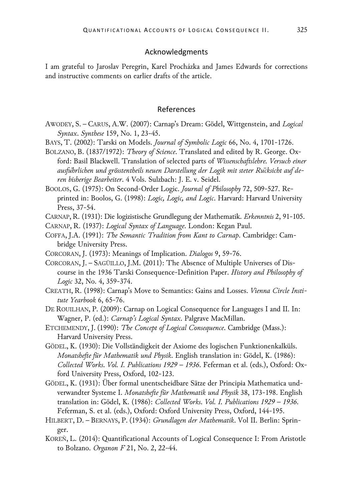#### Acknowledgments

I am grateful to Jaroslav Peregrin, Karel Procházka and James Edwards for corrections and instructive comments on earlier drafts of the article.

#### References

- AWODEY, S. CARUS, A.W. (2007): Carnap's Dream: Gödel, Wittgenstein, and *Logical Syntax*. *Synthese* 159, No. 1, 23-45.
- BAYS, T. (2002): Tarski on Models. *Journal of Symbolic Logic* 66, No. 4, 1701-1726.

BOLZANO, B. (1837/1972): *Theory of Science*. Translated and edited by R. George. Oxford: Basil Blackwell. Translation of selected parts of *Wissenschaftslehre. Versuch einer ausführlichen und grösstentheils neuen Darstellung der Logik mit steter Rücksicht auf deren bisherige Bearbeiter*. 4 Vols. Sulzbach: J. E. v. Seidel.

BOOLOS, G. (1975): On Second-Order Logic. *Journal of Philosophy* 72, 509-527. Reprinted in: Boolos, G. (1998): *Logic, Logic, and Logic*. Harvard: Harvard University Press, 37-54.

CARNAP, R. (1931): Die logizistische Grundlegung der Mathematik. *Erkenntnis* 2, 91-105.

CARNAP, R. (1937): *Logical Syntax of Language*. London: Kegan Paul.

COFFA, J.A. (1991): *The Semantic Tradition from Kant to Carnap*. Cambridge: Cambridge University Press.

CORCORAN, J. (1973): Meanings of Implication. *Dialogos* 9, 59-76.

CORCORAN, J. – SAGÜILLO, J.M. (2011): The Absence of Multiple Universes of Discourse in the 1936 Tarski Consequence-Definition Paper. *History and Philosophy of Logic* 32, No. 4, 359-374.

- CREATH, R. (1998): Carnap's Move to Semantics: Gains and Losses. *Vienna Circle Institute Yearbook* 6, 65-76.
- DE ROUILHAN, P. (2009): Carnap on Logical Consequence for Languages I and II. In: Wagner, P. (ed.): *Carnap's Logical Syntax*. Palgrave MacMillan.
- ETCHEMENDY, J. (1990): *The Concept of Logical Consequence*. Cambridge (Mass.): Harvard University Press.
- GÖDEL, K. (1930): Die Vollständigkeit der Axiome des logischen Funktionenkalküls. *Monatshefte für Mathematik und Physik*. English translation in: Gödel, K. (1986): *Collected Works*. *Vol. I. Publications 1929 – 1936*. Feferman et al. (eds.), Oxford: Oxford University Press, Oxford, 102-123.
- GÖDEL, K. (1931): Über formal unentscheidbare Sätze der Principia Mathematica undverwandter Systeme I. *Monatshefte für Mathematik und Physik* 38, 173-198. English translation in: Gödel, K. (1986): *Collected Works*. *Vol. I. Publications 1929 – 1936*. Feferman, S. et al. (eds.), Oxford: Oxford University Press, Oxford, 144-195.
- HILBERT, D. BERNAYS, P. (1934): *Grundlagen der Mathematik*. Vol II. Berlin: Springer.
- KOREŇ, L. (2014): Quantificational Accounts of Logical Consequence I: From Aristotle to Bolzano. *Organon F* 21, No. 2, 22-44.